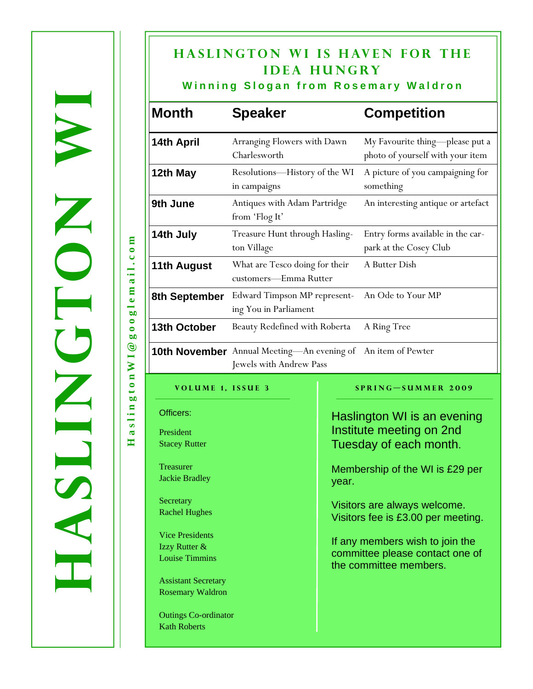# **HASLINGTON WI IS HAVEN FOR THE idea hungry**

## **Winning Slogan from Rosemary Waldron**

| <b>Month</b>       | <b>Speaker</b>                                                                                 | <b>Competition</b>                                                  |
|--------------------|------------------------------------------------------------------------------------------------|---------------------------------------------------------------------|
| 14th April         | Arranging Flowers with Dawn<br>Charlesworth                                                    | My Favourite thing-please put a<br>photo of yourself with your item |
| 12th May           | Resolutions—History of the WI<br>in campaigns                                                  | A picture of you campaigning for<br>something                       |
| 9th June           | Antiques with Adam Partridge<br>from 'Flog It'                                                 | An interesting antique or artefact                                  |
| 14th July          | Treasure Hunt through Hasling-<br>ton Village                                                  | Entry forms available in the car-<br>park at the Cosey Club         |
| <b>11th August</b> | What are Tesco doing for their<br>customers-Emma Rutter                                        | A Butter Dish                                                       |
| 8th September      | Edward Timpson MP represent-<br>ing You in Parliament                                          | An Ode to Your MP                                                   |
| 13th October       | Beauty Redefined with Roberta                                                                  | A Ring Tree                                                         |
|                    | <b>10th November</b> Annual Meeting-An evening of An item of Pewter<br>Jewels with Andrew Pass |                                                                     |

Officers:

President Stacey Rutter

**Treasurer** Jackie Bradley

**Secretary** Rachel Hughes

Vice Presidents Izzy Rutter & Louise Timmins

Assistant Secretary Rosemary Waldron

Outings Co-ordinator Kath Roberts

**Volume 1, Issue 3 Spring—Summer 2009** 

Haslington WI is an evening Institute meeting on 2nd Tuesday of each month.

Membership of the WI is £29 per year.

Visitors are always welcome. Visitors fee is £3.00 per meeting.

If any members wish to join the committee please contact one of the committee members.

**HaslingtonWI@googlemail.com**  googlemail.com  $\circledcirc$ gton WI aslin

H

WORDER STREET

NUSAJ

UD N

Z